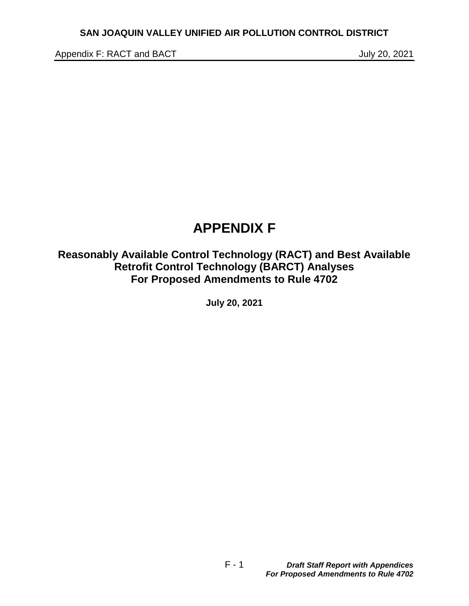# **APPENDIX F**

**Reasonably Available Control Technology (RACT) and Best Available Retrofit Control Technology (BARCT) Analyses For Proposed Amendments to Rule 4702**

**July 20, 2021**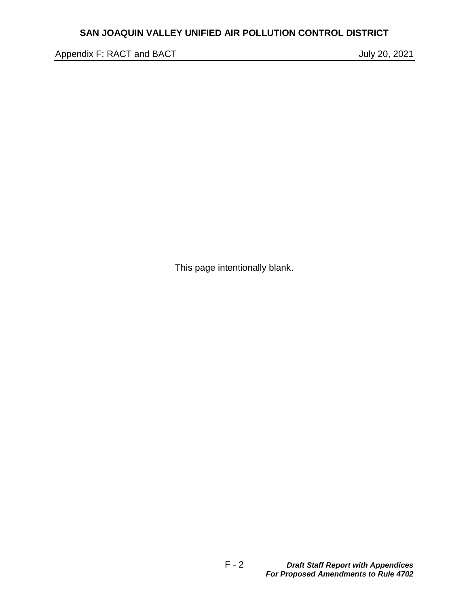Appendix F: RACT and BACT **July 20, 2021** 

This page intentionally blank.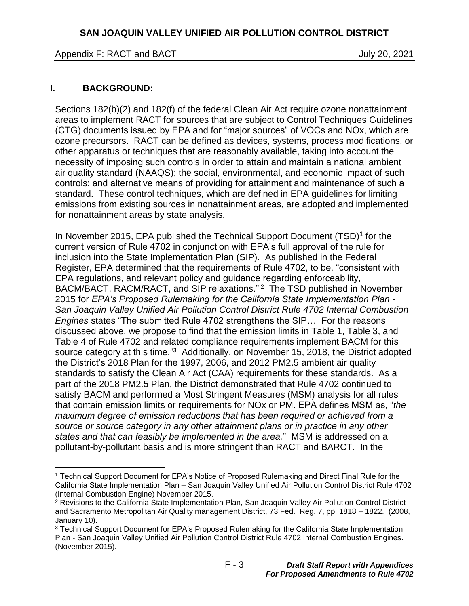Appendix F: RACT and BACT **July 20, 2021** 

#### **I. BACKGROUND:**

 $\overline{a}$ 

Sections 182(b)(2) and 182(f) of the federal Clean Air Act require ozone nonattainment areas to implement RACT for sources that are subject to Control Techniques Guidelines (CTG) documents issued by EPA and for "major sources" of VOCs and NOx, which are ozone precursors. RACT can be defined as devices, systems, process modifications, or other apparatus or techniques that are reasonably available, taking into account the necessity of imposing such controls in order to attain and maintain a national ambient air quality standard (NAAQS); the social, environmental, and economic impact of such controls; and alternative means of providing for attainment and maintenance of such a standard. These control techniques, which are defined in EPA guidelines for limiting emissions from existing sources in nonattainment areas, are adopted and implemented for nonattainment areas by state analysis.

In November 2015, EPA published the Technical Support Document (TSD)<sup>1</sup> for the current version of Rule 4702 in conjunction with EPA's full approval of the rule for inclusion into the State Implementation Plan (SIP). As published in the Federal Register, EPA determined that the requirements of Rule 4702, to be, "consistent with EPA regulations, and relevant policy and guidance regarding enforceability, BACM/BACT, RACM/RACT, and SIP relaxations."<sup>2</sup> The TSD published in November 2015 for *EPA's Proposed Rulemaking for the California State Implementation Plan - San Joaquin Valley Unified Air Pollution Control District Rule 4702 Internal Combustion Engines* states "The submitted Rule 4702 strengthens the SIP… For the reasons discussed above, we propose to find that the emission limits in Table 1, Table 3, and Table 4 of Rule 4702 and related compliance requirements implement BACM for this source category at this time."<sup>3</sup> Additionally, on November 15, 2018, the District adopted the District's 2018 Plan for the 1997, 2006, and 2012 PM2.5 ambient air quality standards to satisfy the Clean Air Act (CAA) requirements for these standards. As a part of the 2018 PM2.5 Plan, the District demonstrated that Rule 4702 continued to satisfy BACM and performed a Most Stringent Measures (MSM) analysis for all rules that contain emission limits or requirements for NOx or PM. EPA defines MSM as, "*the maximum degree of emission reductions that has been required or achieved from a source or source category in any other attainment plans or in practice in any other states and that can feasibly be implemented in the area.*" MSM is addressed on a pollutant-by-pollutant basis and is more stringent than RACT and BARCT. In the

<sup>1</sup> Technical Support Document for EPA's Notice of Proposed Rulemaking and Direct Final Rule for the California State Implementation Plan – San Joaquin Valley Unified Air Pollution Control District Rule 4702 (Internal Combustion Engine) November 2015.

 $2$  Revisions to the California State Implementation Plan, San Joaquin Valley Air Pollution Control District and Sacramento Metropolitan Air Quality management District, 73 Fed. Reg. 7, pp. 1818 – 1822. (2008, January 10).

<sup>3</sup> Technical Support Document for EPA's Proposed Rulemaking for the California State Implementation Plan - San Joaquin Valley Unified Air Pollution Control District Rule 4702 Internal Combustion Engines. (November 2015).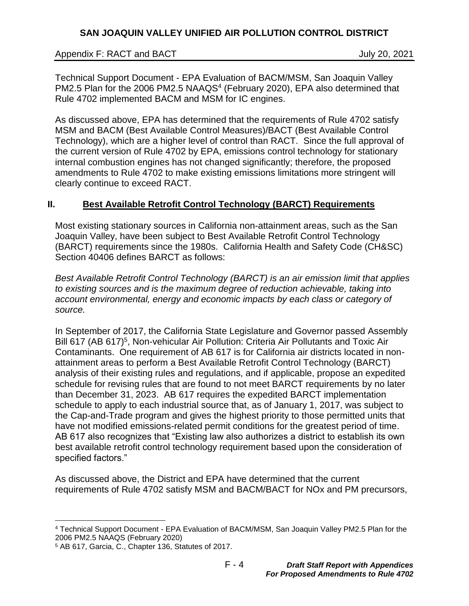Appendix F: RACT and BACT **July 20, 2021** 

Technical Support Document - EPA Evaluation of BACM/MSM, San Joaquin Valley PM2.5 Plan for the 2006 PM2.5 NAAQS<sup>4</sup> (February 2020), EPA also determined that Rule 4702 implemented BACM and MSM for IC engines.

As discussed above, EPA has determined that the requirements of Rule 4702 satisfy MSM and BACM (Best Available Control Measures)/BACT (Best Available Control Technology), which are a higher level of control than RACT. Since the full approval of the current version of Rule 4702 by EPA, emissions control technology for stationary internal combustion engines has not changed significantly; therefore, the proposed amendments to Rule 4702 to make existing emissions limitations more stringent will clearly continue to exceed RACT.

#### **II. Best Available Retrofit Control Technology (BARCT) Requirements**

Most existing stationary sources in California non-attainment areas, such as the San Joaquin Valley, have been subject to Best Available Retrofit Control Technology (BARCT) requirements since the 1980s. California Health and Safety Code (CH&SC) Section 40406 defines BARCT as follows:

*Best Available Retrofit Control Technology (BARCT) is an air emission limit that applies to existing sources and is the maximum degree of reduction achievable, taking into account environmental, energy and economic impacts by each class or category of source.*

In September of 2017, the California State Legislature and Governor passed Assembly Bill 617 (AB 617)<sup>5</sup>, Non-vehicular Air Pollution: Criteria Air Pollutants and Toxic Air Contaminants. One requirement of AB 617 is for California air districts located in nonattainment areas to perform a Best Available Retrofit Control Technology (BARCT) analysis of their existing rules and regulations, and if applicable, propose an expedited schedule for revising rules that are found to not meet BARCT requirements by no later than December 31, 2023. AB 617 requires the expedited BARCT implementation schedule to apply to each industrial source that, as of January 1, 2017, was subject to the Cap-and-Trade program and gives the highest priority to those permitted units that have not modified emissions-related permit conditions for the greatest period of time. AB 617 also recognizes that "Existing law also authorizes a district to establish its own best available retrofit control technology requirement based upon the consideration of specified factors."

As discussed above, the District and EPA have determined that the current requirements of Rule 4702 satisfy MSM and BACM/BACT for NOx and PM precursors,

 $\overline{a}$ 

<sup>4</sup> Technical Support Document - EPA Evaluation of BACM/MSM, San Joaquin Valley PM2.5 Plan for the 2006 PM2.5 NAAQS (February 2020)

<sup>5</sup> AB 617, Garcia, C., Chapter 136, Statutes of 2017.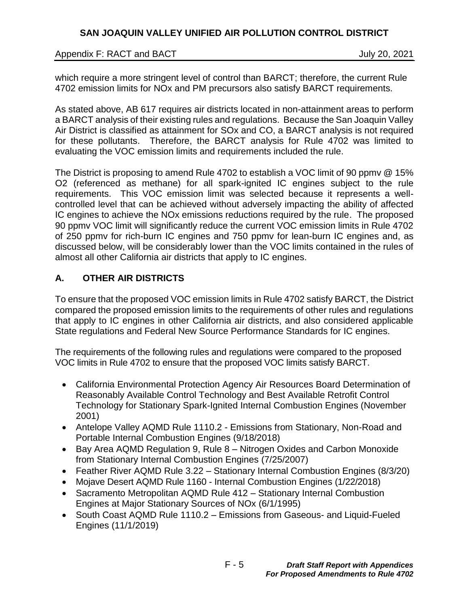Appendix F: RACT and BACT **July 20, 2021** 

which require a more stringent level of control than BARCT; therefore, the current Rule 4702 emission limits for NOx and PM precursors also satisfy BARCT requirements.

As stated above, AB 617 requires air districts located in non-attainment areas to perform a BARCT analysis of their existing rules and regulations. Because the San Joaquin Valley Air District is classified as attainment for SOx and CO, a BARCT analysis is not required for these pollutants. Therefore, the BARCT analysis for Rule 4702 was limited to evaluating the VOC emission limits and requirements included the rule.

The District is proposing to amend Rule 4702 to establish a VOC limit of 90 ppmv @ 15% O2 (referenced as methane) for all spark-ignited IC engines subject to the rule requirements. This VOC emission limit was selected because it represents a wellcontrolled level that can be achieved without adversely impacting the ability of affected IC engines to achieve the NOx emissions reductions required by the rule. The proposed 90 ppmv VOC limit will significantly reduce the current VOC emission limits in Rule 4702 of 250 ppmv for rich-burn IC engines and 750 ppmv for lean-burn IC engines and, as discussed below, will be considerably lower than the VOC limits contained in the rules of almost all other California air districts that apply to IC engines.

## **A. OTHER AIR DISTRICTS**

To ensure that the proposed VOC emission limits in Rule 4702 satisfy BARCT, the District compared the proposed emission limits to the requirements of other rules and regulations that apply to IC engines in other California air districts, and also considered applicable State regulations and Federal New Source Performance Standards for IC engines.

The requirements of the following rules and regulations were compared to the proposed VOC limits in Rule 4702 to ensure that the proposed VOC limits satisfy BARCT.

- California Environmental Protection Agency Air Resources Board Determination of Reasonably Available Control Technology and Best Available Retrofit Control Technology for Stationary Spark-Ignited Internal Combustion Engines (November 2001)
- Antelope Valley AQMD Rule 1110.2 Emissions from Stationary, Non-Road and Portable Internal Combustion Engines (9/18/2018)
- Bay Area AQMD Regulation 9, Rule 8 Nitrogen Oxides and Carbon Monoxide from Stationary Internal Combustion Engines (7/25/2007)
- Feather River AQMD Rule 3.22 Stationary Internal Combustion Engines (8/3/20)
- Mojave Desert AQMD Rule 1160 Internal Combustion Engines (1/22/2018)
- Sacramento Metropolitan AQMD Rule 412 Stationary Internal Combustion Engines at Major Stationary Sources of NOx (6/1/1995)
- South Coast AQMD Rule 1110.2 Emissions from Gaseous- and Liquid-Fueled Engines (11/1/2019)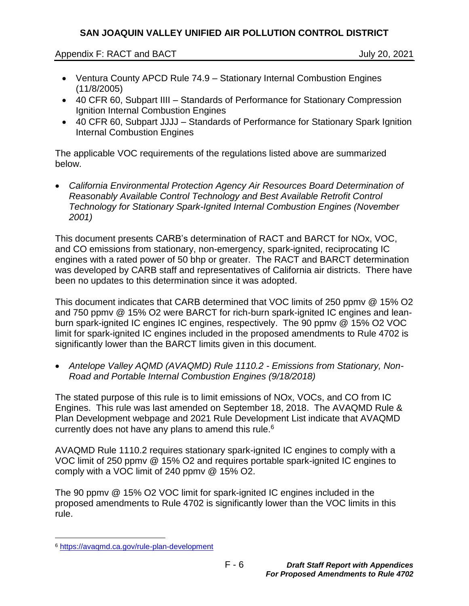Appendix F: RACT and BACT  $\qquad \qquad$  July 20, 2021

- Ventura County APCD Rule 74.9 Stationary Internal Combustion Engines (11/8/2005)
- 40 CFR 60, Subpart IIII Standards of Performance for Stationary Compression Ignition Internal Combustion Engines
- 40 CFR 60, Subpart JJJJ Standards of Performance for Stationary Spark Ignition Internal Combustion Engines

The applicable VOC requirements of the regulations listed above are summarized below.

 *California Environmental Protection Agency Air Resources Board Determination of Reasonably Available Control Technology and Best Available Retrofit Control Technology for Stationary Spark-Ignited Internal Combustion Engines (November 2001)*

This document presents CARB's determination of RACT and BARCT for NOx, VOC, and CO emissions from stationary, non-emergency, spark-ignited, reciprocating IC engines with a rated power of 50 bhp or greater. The RACT and BARCT determination was developed by CARB staff and representatives of California air districts. There have been no updates to this determination since it was adopted.

This document indicates that CARB determined that VOC limits of 250 ppmv @ 15% O2 and 750 ppmv @ 15% O2 were BARCT for rich-burn spark-ignited IC engines and leanburn spark-ignited IC engines IC engines, respectively. The 90 ppmv @ 15% O2 VOC limit for spark-ignited IC engines included in the proposed amendments to Rule 4702 is significantly lower than the BARCT limits given in this document.

 *Antelope Valley AQMD (AVAQMD) Rule 1110.2 - Emissions from Stationary, Non-Road and Portable Internal Combustion Engines (9/18/2018)*

The stated purpose of this rule is to limit emissions of NOx, VOCs, and CO from IC Engines. This rule was last amended on September 18, 2018. The AVAQMD Rule & Plan Development webpage and 2021 Rule Development List indicate that AVAQMD currently does not have any plans to amend this rule.<sup>6</sup>

AVAQMD Rule 1110.2 requires stationary spark-ignited IC engines to comply with a VOC limit of 250 ppmv @ 15% O2 and requires portable spark-ignited IC engines to comply with a VOC limit of 240 ppmv @ 15% O2.

The 90 ppmv @ 15% O2 VOC limit for spark-ignited IC engines included in the proposed amendments to Rule 4702 is significantly lower than the VOC limits in this rule.

 $\overline{a}$ 

<sup>6</sup> <https://avaqmd.ca.gov/rule-plan-development>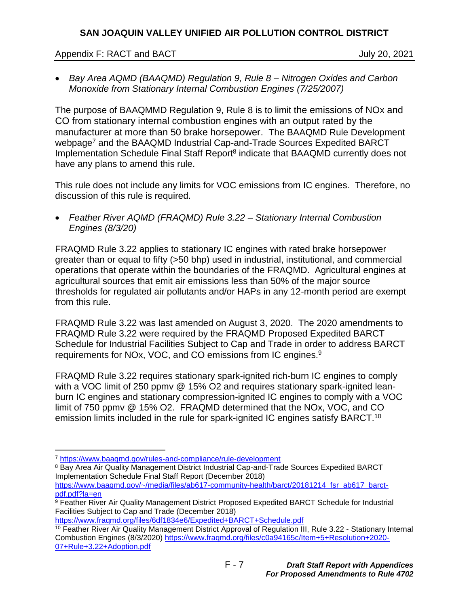*Bay Area AQMD (BAAQMD) Regulation 9, Rule 8 – Nitrogen Oxides and Carbon Monoxide from Stationary Internal Combustion Engines (7/25/2007)*

The purpose of BAAQMMD Regulation 9, Rule 8 is to limit the emissions of NOx and CO from stationary internal combustion engines with an output rated by the manufacturer at more than 50 brake horsepower. The BAAQMD Rule Development webpage<sup>7</sup> and the BAAQMD Industrial Cap-and-Trade Sources Expedited BARCT Implementation Schedule Final Staff Report<sup>8</sup> indicate that BAAQMD currently does not have any plans to amend this rule.

This rule does not include any limits for VOC emissions from IC engines. Therefore, no discussion of this rule is required.

 *Feather River AQMD (FRAQMD) Rule 3.22 – Stationary Internal Combustion Engines (8/3/20)*

FRAQMD Rule 3.22 applies to stationary IC engines with rated brake horsepower greater than or equal to fifty (>50 bhp) used in industrial, institutional, and commercial operations that operate within the boundaries of the FRAQMD. Agricultural engines at agricultural sources that emit air emissions less than 50% of the major source thresholds for regulated air pollutants and/or HAPs in any 12-month period are exempt from this rule.

FRAQMD Rule 3.22 was last amended on August 3, 2020. The 2020 amendments to FRAQMD Rule 3.22 were required by the FRAQMD Proposed Expedited BARCT Schedule for Industrial Facilities Subject to Cap and Trade in order to address BARCT requirements for NOx, VOC, and CO emissions from IC engines.<sup>9</sup>

FRAQMD Rule 3.22 requires stationary spark-ignited rich-burn IC engines to comply with a VOC limit of 250 ppmv @ 15% O2 and requires stationary spark-ignited leanburn IC engines and stationary compression-ignited IC engines to comply with a VOC limit of 750 ppmv @ 15% O2. FRAQMD determined that the NOx, VOC, and CO emission limits included in the rule for spark-ignited IC engines satisfy BARCT.<sup>10</sup>

8 Bay Area Air Quality Management District Industrial Cap-and-Trade Sources Expedited BARCT Implementation Schedule Final Staff Report (December 2018) https://www.baaqmd.gov/~/media/files/ab617-community-health/barct/20181214 fsr\_ab617\_barct-

 $\overline{a}$ 

<https://www.fraqmd.org/files/6df1834e6/Expedited+BARCT+Schedule.pdf>

<sup>7</sup> <https://www.baaqmd.gov/rules-and-compliance/rule-development>

[pdf.pdf?la=en](https://www.baaqmd.gov/~/media/files/ab617-community-health/barct/20181214_fsr_ab617_barct-pdf.pdf?la=en)

<sup>&</sup>lt;sup>9</sup> Feather River Air Quality Management District Proposed Expedited BARCT Schedule for Industrial Facilities Subject to Cap and Trade (December 2018)

<sup>&</sup>lt;sup>10</sup> Feather River Air Quality Management District Approval of Regulation III, Rule 3.22 - Stationary Internal Combustion Engines (8/3/2020) [https://www.fraqmd.org/files/c0a94165c/Item+5+Resolution+2020-](https://www.fraqmd.org/files/c0a94165c/Item+5+Resolution+2020-07+Rule+3.22+Adoption.pdf) [07+Rule+3.22+Adoption.pdf](https://www.fraqmd.org/files/c0a94165c/Item+5+Resolution+2020-07+Rule+3.22+Adoption.pdf)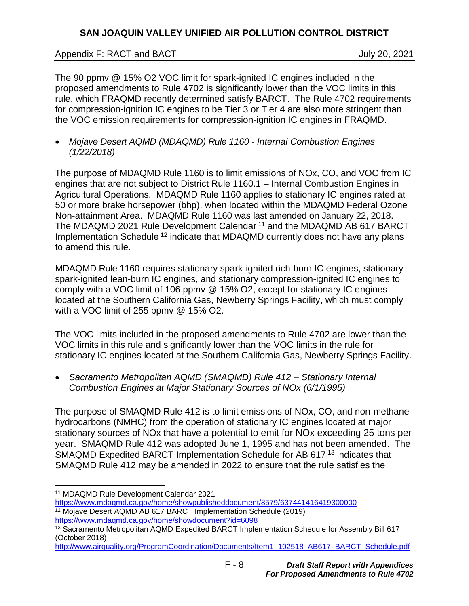Appendix F: RACT and BACT **July 20, 2021** 

The 90 ppmv @ 15% O2 VOC limit for spark-ignited IC engines included in the proposed amendments to Rule 4702 is significantly lower than the VOC limits in this rule, which FRAQMD recently determined satisfy BARCT. The Rule 4702 requirements for compression-ignition IC engines to be Tier 3 or Tier 4 are also more stringent than the VOC emission requirements for compression-ignition IC engines in FRAQMD.

 *Mojave Desert AQMD (MDAQMD) Rule 1160 - Internal Combustion Engines (1/22/2018)*

The purpose of MDAQMD Rule 1160 is to limit emissions of NOx, CO, and VOC from IC engines that are not subject to District Rule 1160.1 – Internal Combustion Engines in Agricultural Operations. MDAQMD Rule 1160 applies to stationary IC engines rated at 50 or more brake horsepower (bhp), when located within the MDAQMD Federal Ozone Non-attainment Area. MDAQMD Rule 1160 was last amended on January 22, 2018. The MDAQMD 2021 Rule Development Calendar <sup>11</sup> and the MDAQMD AB 617 BARCT Implementation Schedule <sup>12</sup> indicate that MDAQMD currently does not have any plans to amend this rule.

MDAQMD Rule 1160 requires stationary spark-ignited rich-burn IC engines, stationary spark-ignited lean-burn IC engines, and stationary compression-ignited IC engines to comply with a VOC limit of 106 ppmv @ 15% O2, except for stationary IC engines located at the Southern California Gas, Newberry Springs Facility, which must comply with a VOC limit of 255 ppmv @ 15% O2.

The VOC limits included in the proposed amendments to Rule 4702 are lower than the VOC limits in this rule and significantly lower than the VOC limits in the rule for stationary IC engines located at the Southern California Gas, Newberry Springs Facility.

 *Sacramento Metropolitan AQMD (SMAQMD) Rule 412 – Stationary Internal Combustion Engines at Major Stationary Sources of NOx (6/1/1995)*

The purpose of SMAQMD Rule 412 is to limit emissions of NOx, CO, and non-methane hydrocarbons (NMHC) from the operation of stationary IC engines located at major stationary sources of NOx that have a potential to emit for NOx exceeding 25 tons per year. SMAQMD Rule 412 was adopted June 1, 1995 and has not been amended. The SMAQMD Expedited BARCT Implementation Schedule for AB 617 <sup>13</sup> indicates that SMAQMD Rule 412 may be amended in 2022 to ensure that the rule satisfies the

<https://www.mdaqmd.ca.gov/home/showpublisheddocument/8579/637441416419300000> <sup>12</sup> Mojave Desert AQMD AB 617 BARCT Implementation Schedule (2019) <https://www.mdaqmd.ca.gov/home/showdocument?id=6098>

 $\overline{a}$ <sup>11</sup> MDAQMD Rule Development Calendar 2021

<sup>&</sup>lt;sup>13</sup> Sacramento Metropolitan AQMD Expedited BARCT Implementation Schedule for Assembly Bill 617 (October 2018)

[http://www.airquality.org/ProgramCoordination/Documents/Item1\\_102518\\_AB617\\_BARCT\\_Schedule.pdf](http://www.airquality.org/ProgramCoordination/Documents/Item1_102518_AB617_BARCT_Schedule.pdf)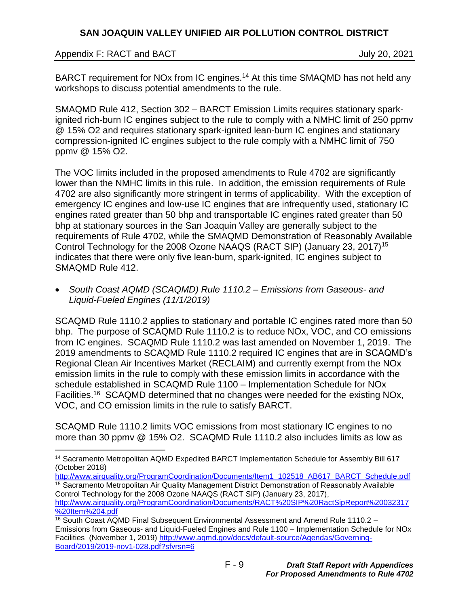Appendix F: RACT and BACT **July 20, 2021** 

BARCT requirement for NOx from IC engines.<sup>14</sup> At this time SMAQMD has not held any workshops to discuss potential amendments to the rule.

SMAQMD Rule 412, Section 302 – BARCT Emission Limits requires stationary sparkignited rich-burn IC engines subject to the rule to comply with a NMHC limit of 250 ppmv @ 15% O2 and requires stationary spark-ignited lean-burn IC engines and stationary compression-ignited IC engines subject to the rule comply with a NMHC limit of 750 ppmv @ 15% O2.

The VOC limits included in the proposed amendments to Rule 4702 are significantly lower than the NMHC limits in this rule. In addition, the emission requirements of Rule 4702 are also significantly more stringent in terms of applicability. With the exception of emergency IC engines and low-use IC engines that are infrequently used, stationary IC engines rated greater than 50 bhp and transportable IC engines rated greater than 50 bhp at stationary sources in the San Joaquin Valley are generally subject to the requirements of Rule 4702, while the SMAQMD Demonstration of Reasonably Available Control Technology for the 2008 Ozone NAAQS (RACT SIP) (January 23, 2017)<sup>15</sup> indicates that there were only five lean-burn, spark-ignited, IC engines subject to SMAQMD Rule 412.

 *South Coast AQMD (SCAQMD) Rule 1110.2 – Emissions from Gaseous- and Liquid-Fueled Engines (11/1/2019)*

SCAQMD Rule 1110.2 applies to stationary and portable IC engines rated more than 50 bhp. The purpose of SCAQMD Rule 1110.2 is to reduce NOx, VOC, and CO emissions from IC engines. SCAQMD Rule 1110.2 was last amended on November 1, 2019. The 2019 amendments to SCAQMD Rule 1110.2 required IC engines that are in SCAQMD's Regional Clean Air Incentives Market (RECLAIM) and currently exempt from the NOx emission limits in the rule to comply with these emission limits in accordance with the schedule established in SCAQMD Rule 1100 – Implementation Schedule for NOx Facilities.<sup>16</sup> SCAQMD determined that no changes were needed for the existing NOx, VOC, and CO emission limits in the rule to satisfy BARCT.

SCAQMD Rule 1110.2 limits VOC emissions from most stationary IC engines to no more than 30 ppmv @ 15% O2. SCAQMD Rule 1110.2 also includes limits as low as

[http://www.airquality.org/ProgramCoordination/Documents/Item1\\_102518\\_AB617\\_BARCT\\_Schedule.pdf](http://www.airquality.org/ProgramCoordination/Documents/Item1_102518_AB617_BARCT_Schedule.pdf) <sup>15</sup> Sacramento Metropolitan Air Quality Management District Demonstration of Reasonably Available Control Technology for the 2008 Ozone NAAQS (RACT SIP) (January 23, 2017),

 $\overline{a}$ <sup>14</sup> Sacramento Metropolitan AQMD Expedited BARCT Implementation Schedule for Assembly Bill 617 (October 2018)

[http://www.airquality.org/ProgramCoordination/Documents/RACT%20SIP%20RactSipReport%20032317](http://www.airquality.org/ProgramCoordination/Documents/RACT%20SIP%20RactSipReport%20032317%20Item%204.pdf) [%20Item%204.pdf](http://www.airquality.org/ProgramCoordination/Documents/RACT%20SIP%20RactSipReport%20032317%20Item%204.pdf)

<sup>&</sup>lt;sup>16</sup> South Coast AQMD Final Subsequent Environmental Assessment and Amend Rule 1110.2 -Emissions from Gaseous- and Liquid-Fueled Engines and Rule 1100 – Implementation Schedule for NOx Facilities (November 1, 2019) [http://www.aqmd.gov/docs/default-source/Agendas/Governing-](http://www.aqmd.gov/docs/default-source/Agendas/Governing-Board/2019/2019-nov1-028.pdf?sfvrsn=6)[Board/2019/2019-nov1-028.pdf?sfvrsn=6](http://www.aqmd.gov/docs/default-source/Agendas/Governing-Board/2019/2019-nov1-028.pdf?sfvrsn=6)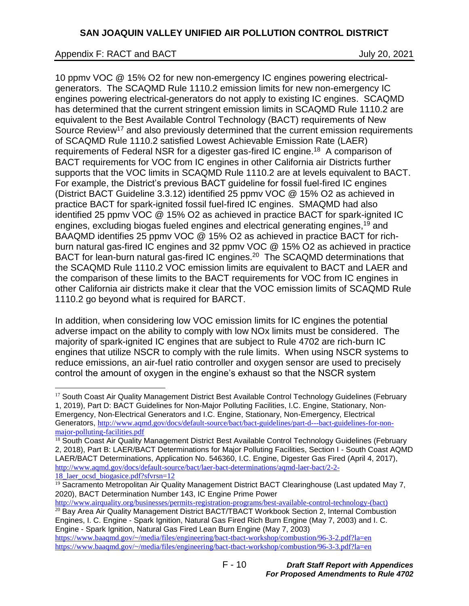10 ppmv VOC @ 15% O2 for new non-emergency IC engines powering electricalgenerators. The SCAQMD Rule 1110.2 emission limits for new non-emergency IC engines powering electrical-generators do not apply to existing IC engines. SCAQMD has determined that the current stringent emission limits in SCAQMD Rule 1110.2 are equivalent to the Best Available Control Technology (BACT) requirements of New Source Review<sup>17</sup> and also previously determined that the current emission requirements of SCAQMD Rule 1110.2 satisfied Lowest Achievable Emission Rate (LAER) requirements of Federal NSR for a digester gas-fired IC engine.<sup>18</sup> A comparison of BACT requirements for VOC from IC engines in other California air Districts further supports that the VOC limits in SCAQMD Rule 1110.2 are at levels equivalent to BACT. For example, the District's previous BACT guideline for fossil fuel-fired IC engines (District BACT Guideline 3.3.12) identified 25 ppmv VOC @ 15% O2 as achieved in practice BACT for spark-ignited fossil fuel-fired IC engines. SMAQMD had also identified 25 ppmv VOC @ 15% O2 as achieved in practice BACT for spark-ignited IC engines, excluding biogas fueled engines and electrical generating engines,<sup>19</sup> and BAAQMD identifies 25 ppmv VOC @ 15% O2 as achieved in practice BACT for richburn natural gas-fired IC engines and 32 ppmv VOC @ 15% O2 as achieved in practice BACT for lean-burn natural gas-fired IC engines.<sup>20</sup> The SCAQMD determinations that the SCAQMD Rule 1110.2 VOC emission limits are equivalent to BACT and LAER and the comparison of these limits to the BACT requirements for VOC from IC engines in other California air districts make it clear that the VOC emission limits of SCAQMD Rule 1110.2 go beyond what is required for BARCT.

In addition, when considering low VOC emission limits for IC engines the potential adverse impact on the ability to comply with low NOx limits must be considered. The majority of spark-ignited IC engines that are subject to Rule 4702 are rich-burn IC engines that utilize NSCR to comply with the rule limits. When using NSCR systems to reduce emissions, an air-fuel ratio controller and oxygen sensor are used to precisely control the amount of oxygen in the engine's exhaust so that the NSCR system

 $\overline{a}$ <sup>17</sup> South Coast Air Quality Management District Best Available Control Technology Guidelines (February 1, 2019), Part D: BACT Guidelines for Non-Major Polluting Facilities, I.C. Engine, Stationary, Non-Emergency, Non-Electrical Generators and I.C. Engine, Stationary, Non-Emergency, Electrical Generators, [http://www.aqmd.gov/docs/default-source/bact/bact-guidelines/part-d---bact-guidelines-for-non](http://www.aqmd.gov/docs/default-source/bact/bact-guidelines/part-d---bact-guidelines-for-non-major-polluting-facilities.pdf)[major-polluting-facilities.pdf](http://www.aqmd.gov/docs/default-source/bact/bact-guidelines/part-d---bact-guidelines-for-non-major-polluting-facilities.pdf)

<sup>&</sup>lt;sup>18</sup> South Coast Air Quality Management District Best Available Control Technology Guidelines (February 2, 2018), Part B: LAER/BACT Determinations for Major Polluting Facilities, Section I - South Coast AQMD LAER/BACT Determinations, Application No. 546360, I.C. Engine, Digester Gas Fired (April 4, 2017), [http://www.aqmd.gov/docs/default-source/bact/laer-bact-determinations/aqmd-laer-bact/2-2-](http://www.aqmd.gov/docs/default-source/bact/laer-bact-determinations/aqmd-laer-bact/2-2-18_laer_ocsd_biogasice.pdf?sfvrsn=12) 18<sup>d</sup> laer\_ocsd<sup>biogasice.pdf?sfvrsn=12</sup>

 $19$  Sacramento Metropolitan Air Quality Management District BACT Clearinghouse (Last updated May 7, 2020), BACT Determination Number 143, IC Engine Prime Power

http://www.airquality.org/businesses/permits-registration-programs/best-available-control-technology-(bact) <sup>20</sup> Bay Area Air Quality Management District BACT/TBACT Workbook Section 2, Internal Combustion

Engines, I. C. Engine - Spark Ignition, Natural Gas Fired Rich Burn Engine (May 7, 2003) and I. C. Engine - Spark Ignition, Natural Gas Fired Lean Burn Engine (May 7, 2003) <https://www.baaqmd.gov/~/media/files/engineering/bact-tbact-workshop/combustion/96-3-2.pdf?la=en>

<https://www.baaqmd.gov/~/media/files/engineering/bact-tbact-workshop/combustion/96-3-3.pdf?la=en>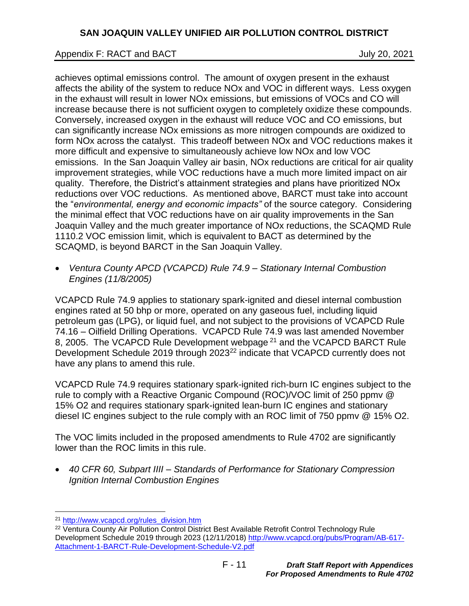#### Appendix F: RACT and BACT **July 20, 2021**

achieves optimal emissions control. The amount of oxygen present in the exhaust affects the ability of the system to reduce NOx and VOC in different ways. Less oxygen in the exhaust will result in lower NOx emissions, but emissions of VOCs and CO will increase because there is not sufficient oxygen to completely oxidize these compounds. Conversely, increased oxygen in the exhaust will reduce VOC and CO emissions, but can significantly increase NOx emissions as more nitrogen compounds are oxidized to form NOx across the catalyst. This tradeoff between NOx and VOC reductions makes it more difficult and expensive to simultaneously achieve low NOx and low VOC emissions. In the San Joaquin Valley air basin, NOx reductions are critical for air quality improvement strategies, while VOC reductions have a much more limited impact on air quality. Therefore, the District's attainment strategies and plans have prioritized NOx reductions over VOC reductions. As mentioned above, BARCT must take into account the "*environmental, energy and economic impacts"* of the source category. Considering the minimal effect that VOC reductions have on air quality improvements in the San Joaquin Valley and the much greater importance of NOx reductions, the SCAQMD Rule 1110.2 VOC emission limit, which is equivalent to BACT as determined by the SCAQMD, is beyond BARCT in the San Joaquin Valley.

 *Ventura County APCD (VCAPCD) Rule 74.9 – Stationary Internal Combustion Engines (11/8/2005)*

VCAPCD Rule 74.9 applies to stationary spark-ignited and diesel internal combustion engines rated at 50 bhp or more, operated on any gaseous fuel, including liquid petroleum gas (LPG), or liquid fuel, and not subject to the provisions of VCAPCD Rule 74.16 – Oilfield Drilling Operations. VCAPCD Rule 74.9 was last amended November 8, 2005. The VCAPCD Rule Development webpage <sup>21</sup> and the VCAPCD BARCT Rule Development Schedule 2019 through 2023<sup>22</sup> indicate that VCAPCD currently does not have any plans to amend this rule.

VCAPCD Rule 74.9 requires stationary spark-ignited rich-burn IC engines subject to the rule to comply with a Reactive Organic Compound (ROC)/VOC limit of 250 ppmv @ 15% O2 and requires stationary spark-ignited lean-burn IC engines and stationary diesel IC engines subject to the rule comply with an ROC limit of 750 ppmv @ 15% O2.

The VOC limits included in the proposed amendments to Rule 4702 are significantly lower than the ROC limits in this rule.

 *40 CFR 60, Subpart IIII – Standards of Performance for Stationary Compression Ignition Internal Combustion Engines*

 $\overline{a}$ <sup>21</sup> [http://www.vcapcd.org/rules\\_division.htm](http://www.vcapcd.org/rules_division.htm)

<sup>&</sup>lt;sup>22</sup> Ventura County Air Pollution Control District Best Available Retrofit Control Technology Rule Development Schedule 2019 through 2023 (12/11/2018) [http://www.vcapcd.org/pubs/Program/AB-617-](http://www.vcapcd.org/pubs/Program/AB-617-Attachment-1-BARCT-Rule-Development-Schedule-V2.pdf) [Attachment-1-BARCT-Rule-Development-Schedule-V2.pdf](http://www.vcapcd.org/pubs/Program/AB-617-Attachment-1-BARCT-Rule-Development-Schedule-V2.pdf)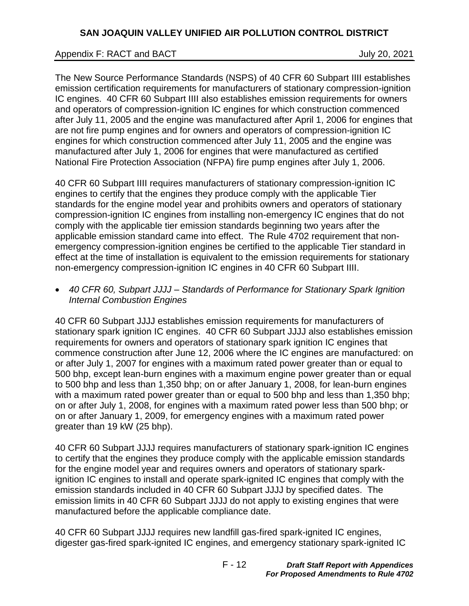#### Appendix F: RACT and BACT **July 20, 2021**

The New Source Performance Standards (NSPS) of 40 CFR 60 Subpart IIII establishes emission certification requirements for manufacturers of stationary compression-ignition IC engines. 40 CFR 60 Subpart IIII also establishes emission requirements for owners and operators of compression-ignition IC engines for which construction commenced after July 11, 2005 and the engine was manufactured after April 1, 2006 for engines that are not fire pump engines and for owners and operators of compression-ignition IC engines for which construction commenced after July 11, 2005 and the engine was manufactured after July 1, 2006 for engines that were manufactured as certified National Fire Protection Association (NFPA) fire pump engines after July 1, 2006.

40 CFR 60 Subpart IIII requires manufacturers of stationary compression-ignition IC engines to certify that the engines they produce comply with the applicable Tier standards for the engine model year and prohibits owners and operators of stationary compression-ignition IC engines from installing non-emergency IC engines that do not comply with the applicable tier emission standards beginning two years after the applicable emission standard came into effect. The Rule 4702 requirement that nonemergency compression-ignition engines be certified to the applicable Tier standard in effect at the time of installation is equivalent to the emission requirements for stationary non-emergency compression-ignition IC engines in 40 CFR 60 Subpart IIII.

 *40 CFR 60, Subpart JJJJ – Standards of Performance for Stationary Spark Ignition Internal Combustion Engines*

40 CFR 60 Subpart JJJJ establishes emission requirements for manufacturers of stationary spark ignition IC engines. 40 CFR 60 Subpart JJJJ also establishes emission requirements for owners and operators of stationary spark ignition IC engines that commence construction after June 12, 2006 where the IC engines are manufactured: on or after July 1, 2007 for engines with a maximum rated power greater than or equal to 500 bhp, except lean-burn engines with a maximum engine power greater than or equal to 500 bhp and less than 1,350 bhp; on or after January 1, 2008, for lean-burn engines with a maximum rated power greater than or equal to 500 bhp and less than 1,350 bhp; on or after July 1, 2008, for engines with a maximum rated power less than 500 bhp; or on or after January 1, 2009, for emergency engines with a maximum rated power greater than 19 kW (25 bhp).

40 CFR 60 Subpart JJJJ requires manufacturers of stationary spark-ignition IC engines to certify that the engines they produce comply with the applicable emission standards for the engine model year and requires owners and operators of stationary sparkignition IC engines to install and operate spark-ignited IC engines that comply with the emission standards included in 40 CFR 60 Subpart JJJJ by specified dates. The emission limits in 40 CFR 60 Subpart JJJJ do not apply to existing engines that were manufactured before the applicable compliance date.

40 CFR 60 Subpart JJJJ requires new landfill gas-fired spark-ignited IC engines, digester gas-fired spark-ignited IC engines, and emergency stationary spark-ignited IC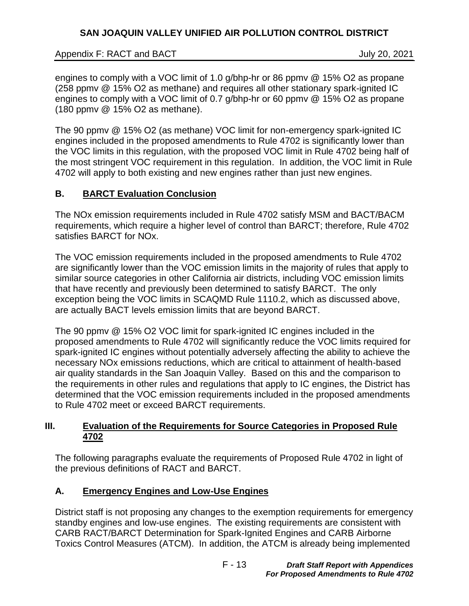engines to comply with a VOC limit of 1.0 g/bhp-hr or 86 ppmv @ 15% O2 as propane (258 ppmv @ 15% O2 as methane) and requires all other stationary spark-ignited IC engines to comply with a VOC limit of 0.7 g/bhp-hr or 60 ppmv @ 15% O2 as propane (180 ppmv @ 15% O2 as methane).

The 90 ppmv @ 15% O2 (as methane) VOC limit for non-emergency spark-ignited IC engines included in the proposed amendments to Rule 4702 is significantly lower than the VOC limits in this regulation, with the proposed VOC limit in Rule 4702 being half of the most stringent VOC requirement in this regulation. In addition, the VOC limit in Rule 4702 will apply to both existing and new engines rather than just new engines.

# **B. BARCT Evaluation Conclusion**

The NOx emission requirements included in Rule 4702 satisfy MSM and BACT/BACM requirements, which require a higher level of control than BARCT; therefore, Rule 4702 satisfies BARCT for NOx.

The VOC emission requirements included in the proposed amendments to Rule 4702 are significantly lower than the VOC emission limits in the majority of rules that apply to similar source categories in other California air districts, including VOC emission limits that have recently and previously been determined to satisfy BARCT. The only exception being the VOC limits in SCAQMD Rule 1110.2, which as discussed above, are actually BACT levels emission limits that are beyond BARCT.

The 90 ppmv @ 15% O2 VOC limit for spark-ignited IC engines included in the proposed amendments to Rule 4702 will significantly reduce the VOC limits required for spark-ignited IC engines without potentially adversely affecting the ability to achieve the necessary NOx emissions reductions, which are critical to attainment of health-based air quality standards in the San Joaquin Valley. Based on this and the comparison to the requirements in other rules and regulations that apply to IC engines, the District has determined that the VOC emission requirements included in the proposed amendments to Rule 4702 meet or exceed BARCT requirements.

#### **III. Evaluation of the Requirements for Source Categories in Proposed Rule 4702**

The following paragraphs evaluate the requirements of Proposed Rule 4702 in light of the previous definitions of RACT and BARCT.

# **A. Emergency Engines and Low-Use Engines**

District staff is not proposing any changes to the exemption requirements for emergency standby engines and low-use engines. The existing requirements are consistent with CARB RACT/BARCT Determination for Spark-Ignited Engines and CARB Airborne Toxics Control Measures (ATCM). In addition, the ATCM is already being implemented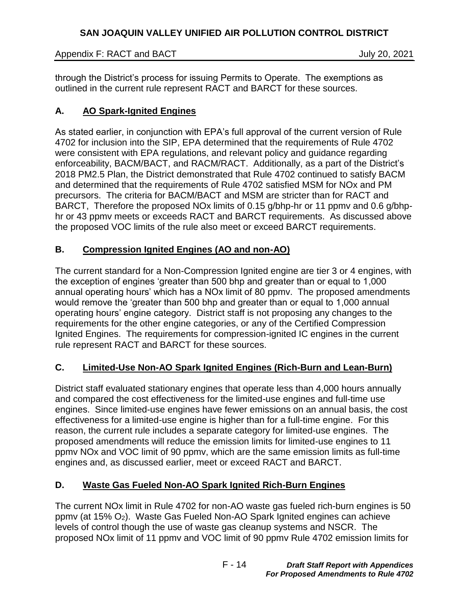through the District's process for issuing Permits to Operate. The exemptions as outlined in the current rule represent RACT and BARCT for these sources.

# **A. AO Spark-Ignited Engines**

As stated earlier, in conjunction with EPA's full approval of the current version of Rule 4702 for inclusion into the SIP, EPA determined that the requirements of Rule 4702 were consistent with EPA regulations, and relevant policy and guidance regarding enforceability, BACM/BACT, and RACM/RACT. Additionally, as a part of the District's 2018 PM2.5 Plan, the District demonstrated that Rule 4702 continued to satisfy BACM and determined that the requirements of Rule 4702 satisfied MSM for NOx and PM precursors. The criteria for BACM/BACT and MSM are stricter than for RACT and BARCT, Therefore the proposed NOx limits of 0.15 g/bhp-hr or 11 ppmv and 0.6 g/bhphr or 43 ppmv meets or exceeds RACT and BARCT requirements. As discussed above the proposed VOC limits of the rule also meet or exceed BARCT requirements.

# **B. Compression Ignited Engines (AO and non-AO)**

The current standard for a Non-Compression Ignited engine are tier 3 or 4 engines, with the exception of engines 'greater than 500 bhp and greater than or equal to 1,000 annual operating hours' which has a NOx limit of 80 ppmv. The proposed amendments would remove the 'greater than 500 bhp and greater than or equal to 1,000 annual operating hours' engine category. District staff is not proposing any changes to the requirements for the other engine categories, or any of the Certified Compression Ignited Engines. The requirements for compression-ignited IC engines in the current rule represent RACT and BARCT for these sources.

# **C. Limited-Use Non-AO Spark Ignited Engines (Rich-Burn and Lean-Burn)**

District staff evaluated stationary engines that operate less than 4,000 hours annually and compared the cost effectiveness for the limited-use engines and full-time use engines. Since limited-use engines have fewer emissions on an annual basis, the cost effectiveness for a limited-use engine is higher than for a full-time engine. For this reason, the current rule includes a separate category for limited-use engines. The proposed amendments will reduce the emission limits for limited-use engines to 11 ppmv NOx and VOC limit of 90 ppmv, which are the same emission limits as full-time engines and, as discussed earlier, meet or exceed RACT and BARCT.

# **D. Waste Gas Fueled Non-AO Spark Ignited Rich-Burn Engines**

The current NOx limit in Rule 4702 for non-AO waste gas fueled rich-burn engines is 50 ppmv (at 15% O2). Waste Gas Fueled Non-AO Spark Ignited engines can achieve levels of control though the use of waste gas cleanup systems and NSCR. The proposed NOx limit of 11 ppmv and VOC limit of 90 ppmv Rule 4702 emission limits for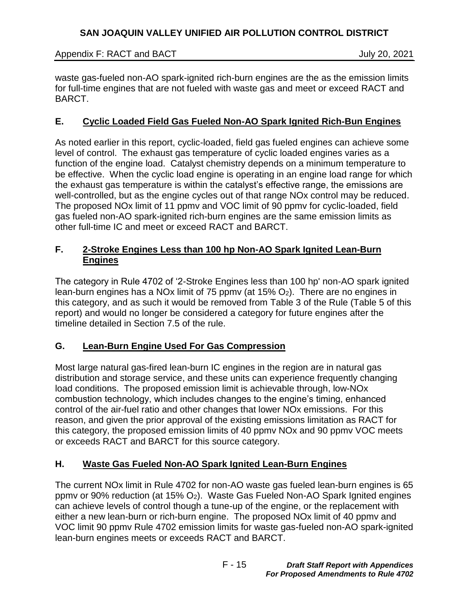Appendix F: RACT and BACT **July 20, 2021** 

waste gas-fueled non-AO spark-ignited rich-burn engines are the as the emission limits for full-time engines that are not fueled with waste gas and meet or exceed RACT and BARCT.

## **E. Cyclic Loaded Field Gas Fueled Non-AO Spark Ignited Rich-Bun Engines**

As noted earlier in this report, cyclic-loaded, field gas fueled engines can achieve some level of control. The exhaust gas temperature of cyclic loaded engines varies as a function of the engine load. Catalyst chemistry depends on a minimum temperature to be effective. When the cyclic load engine is operating in an engine load range for which the exhaust gas temperature is within the catalyst's effective range, the emissions are well-controlled, but as the engine cycles out of that range NOx control may be reduced. The proposed NOx limit of 11 ppmv and VOC limit of 90 ppmv for cyclic-loaded, field gas fueled non-AO spark-ignited rich-burn engines are the same emission limits as other full-time IC and meet or exceed RACT and BARCT.

#### **F. 2-Stroke Engines Less than 100 hp Non-AO Spark Ignited Lean-Burn Engines**

The category in Rule 4702 of '2-Stroke Engines less than 100 hp' non-AO spark ignited lean-burn engines has a NOx limit of 75 ppmv (at  $15\%$  O<sub>2</sub>). There are no engines in this category, and as such it would be removed from Table 3 of the Rule (Table 5 of this report) and would no longer be considered a category for future engines after the timeline detailed in Section 7.5 of the rule.

# **G. Lean-Burn Engine Used For Gas Compression**

Most large natural gas-fired lean-burn IC engines in the region are in natural gas distribution and storage service, and these units can experience frequently changing load conditions. The proposed emission limit is achievable through, low-NOx combustion technology, which includes changes to the engine's timing, enhanced control of the air-fuel ratio and other changes that lower NOx emissions. For this reason, and given the prior approval of the existing emissions limitation as RACT for this category, the proposed emission limits of 40 ppmv NOx and 90 ppmv VOC meets or exceeds RACT and BARCT for this source category.

#### **H. Waste Gas Fueled Non-AO Spark Ignited Lean-Burn Engines**

The current NOx limit in Rule 4702 for non-AO waste gas fueled lean-burn engines is 65 ppmv or 90% reduction (at 15% O2). Waste Gas Fueled Non-AO Spark Ignited engines can achieve levels of control though a tune-up of the engine, or the replacement with either a new lean-burn or rich-burn engine. The proposed NOx limit of 40 ppmv and VOC limit 90 ppmv Rule 4702 emission limits for waste gas-fueled non-AO spark-ignited lean-burn engines meets or exceeds RACT and BARCT.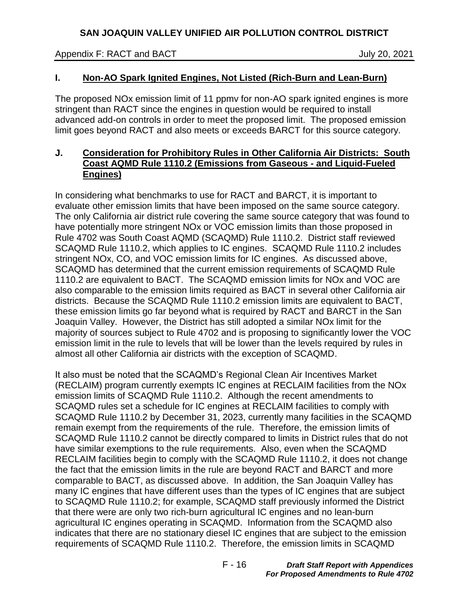Appendix F: RACT and BACT **July 20, 2021** 

#### **I. Non-AO Spark Ignited Engines, Not Listed (Rich-Burn and Lean-Burn)**

The proposed NOx emission limit of 11 ppmv for non-AO spark ignited engines is more stringent than RACT since the engines in question would be required to install advanced add-on controls in order to meet the proposed limit. The proposed emission limit goes beyond RACT and also meets or exceeds BARCT for this source category.

#### **J. Consideration for Prohibitory Rules in Other California Air Districts: South Coast AQMD Rule 1110.2 (Emissions from Gaseous - and Liquid-Fueled Engines)**

In considering what benchmarks to use for RACT and BARCT, it is important to evaluate other emission limits that have been imposed on the same source category. The only California air district rule covering the same source category that was found to have potentially more stringent NOx or VOC emission limits than those proposed in Rule 4702 was South Coast AQMD (SCAQMD) Rule 1110.2. District staff reviewed SCAQMD Rule 1110.2, which applies to IC engines. SCAQMD Rule 1110.2 includes stringent NOx, CO, and VOC emission limits for IC engines. As discussed above, SCAQMD has determined that the current emission requirements of SCAQMD Rule 1110.2 are equivalent to BACT. The SCAQMD emission limits for NOx and VOC are also comparable to the emission limits required as BACT in several other California air districts. Because the SCAQMD Rule 1110.2 emission limits are equivalent to BACT, these emission limits go far beyond what is required by RACT and BARCT in the San Joaquin Valley. However, the District has still adopted a similar NOx limit for the majority of sources subject to Rule 4702 and is proposing to significantly lower the VOC emission limit in the rule to levels that will be lower than the levels required by rules in almost all other California air districts with the exception of SCAQMD.

It also must be noted that the SCAQMD's Regional Clean Air Incentives Market (RECLAIM) program currently exempts IC engines at RECLAIM facilities from the NOx emission limits of SCAQMD Rule 1110.2. Although the recent amendments to SCAQMD rules set a schedule for IC engines at RECLAIM facilities to comply with SCAQMD Rule 1110.2 by December 31, 2023, currently many facilities in the SCAQMD remain exempt from the requirements of the rule. Therefore, the emission limits of SCAQMD Rule 1110.2 cannot be directly compared to limits in District rules that do not have similar exemptions to the rule requirements. Also, even when the SCAQMD RECLAIM facilities begin to comply with the SCAQMD Rule 1110.2, it does not change the fact that the emission limits in the rule are beyond RACT and BARCT and more comparable to BACT, as discussed above. In addition, the San Joaquin Valley has many IC engines that have different uses than the types of IC engines that are subject to SCAQMD Rule 1110.2; for example, SCAQMD staff previously informed the District that there were are only two rich-burn agricultural IC engines and no lean-burn agricultural IC engines operating in SCAQMD. Information from the SCAQMD also indicates that there are no stationary diesel IC engines that are subject to the emission requirements of SCAQMD Rule 1110.2. Therefore, the emission limits in SCAQMD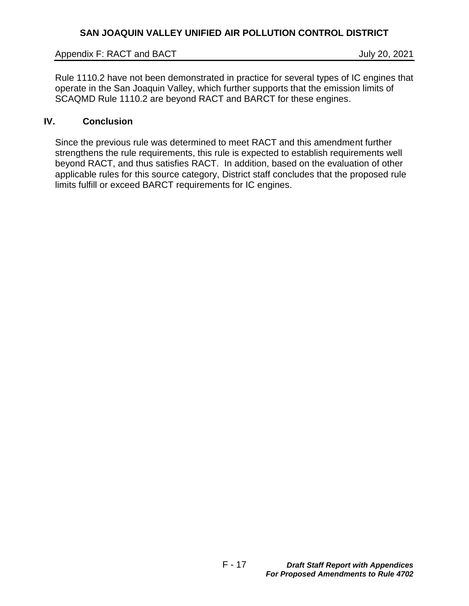Appendix F: RACT and BACT **July 20, 2021** 

Rule 1110.2 have not been demonstrated in practice for several types of IC engines that operate in the San Joaquin Valley, which further supports that the emission limits of SCAQMD Rule 1110.2 are beyond RACT and BARCT for these engines.

#### **IV. Conclusion**

Since the previous rule was determined to meet RACT and this amendment further strengthens the rule requirements, this rule is expected to establish requirements well beyond RACT, and thus satisfies RACT. In addition, based on the evaluation of other applicable rules for this source category, District staff concludes that the proposed rule limits fulfill or exceed BARCT requirements for IC engines.